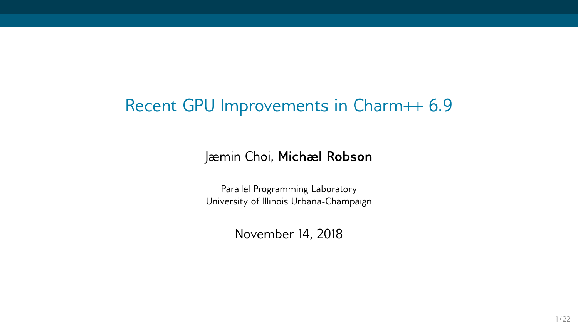### Recent GPU Improvements in Charm++ 6.9

Jæmin Choi, **Michæl Robson**

Parallel Programming Laboratory University of Illinois Urbana-Champaign

November 14, 2018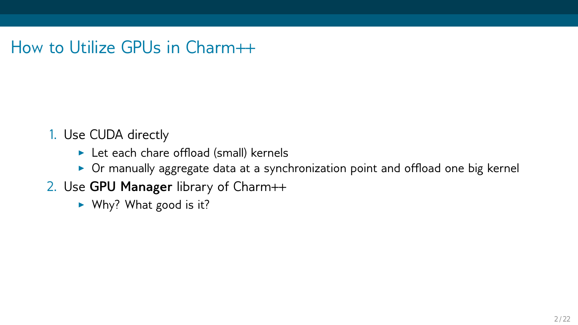How to Utilize GPUs in Charm++

- 1. Use CUDA directly
	- $\blacktriangleright$  Let each chare offload (small) kernels
	- ▶ Or manually aggregate data at a synchronization point and offload one big kernel
- 2. Use **GPU Manager** library of Charm++
	- ▶ Why? What good is it?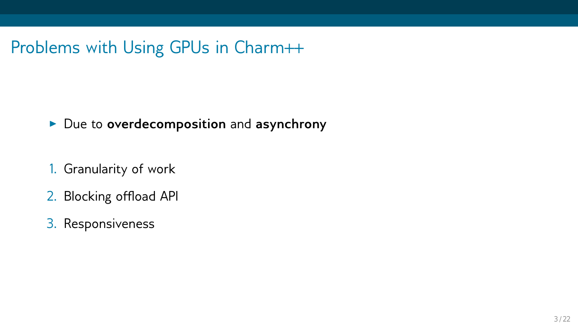Problems with Using GPUs in Charm++

#### ▶ Due to **overdecomposition** and **asynchrony**

- 1. Granularity of work
- 2. Blocking offload API
- 3. Responsiveness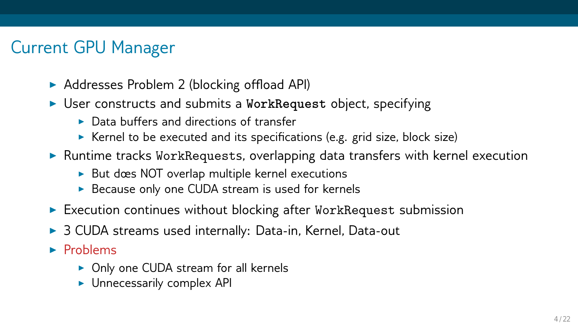## Current GPU Manager

- ▶ Addresses Problem 2 (blocking offload API)
- ▶ User constructs and submits a **WorkRequest** object, specifying
	- ▶ Data buffers and directions of transfer
	- ▶ Kernel to be executed and its specifications (e.g. grid size, block size)
- ▶ Runtime tracks WorkRequests, overlapping data transfers with kernel execution
	- ▶ But dœs NOT overlap multiple kernel executions
	- ▶ Because only one CUDA stream is used for kernels
- $\triangleright$  Execution continues without blocking after WorkRequest submission
- ▶ 3 CUDA streams used internally: Data-in, Kernel, Data-out
- ▶ Problems
	- ▶ Only one CUDA stream for all kernels
	- ▶ Unnecessarily complex API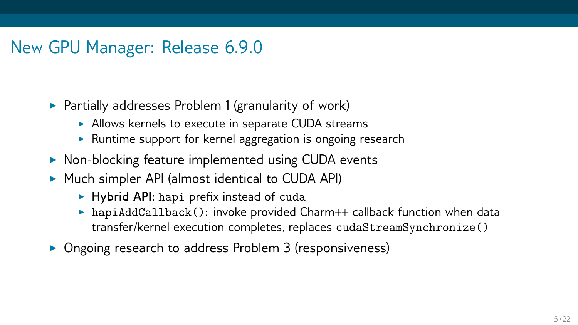## New GPU Manager: Release 6.9.0

- $\triangleright$  Partially addresses Problem 1 (granularity of work)
	- ▶ Allows kernels to execute in separate CUDA streams
	- ▶ Runtime support for kernel aggregation is ongoing research
- ▶ Non-blocking feature implemented using CUDA events
- ▶ Much simpler API (almost identical to CUDA API)
	- ▶ **Hybrid API**: hapi prefix instead of cuda
	- $\triangleright$  hapiAddCallback(): invoke provided Charm++ callback function when data transfer/kernel execution completes, replaces cudaStreamSynchronize()
- ▶ Ongoing research to address Problem 3 (responsiveness)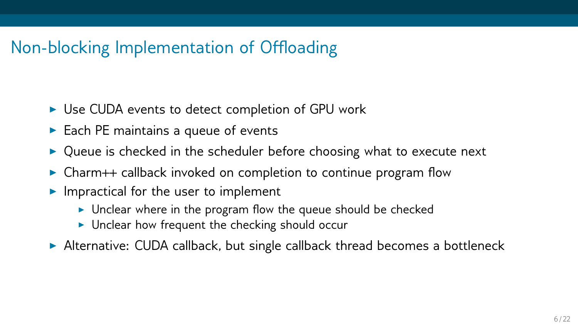## Non-blocking Implementation of Offloading

- ▶ Use CUDA events to detect completion of GPU work
- $\triangleright$  Each PE maintains a queue of events
- $\triangleright$  Queue is checked in the scheduler before choosing what to execute next
- ▶ Charm++ callback invoked on completion to continue program flow
- $\blacktriangleright$  Impractical for the user to implement
	- ▶ Unclear where in the program flow the queue should be checked
	- $\triangleright$  Unclear how frequent the checking should occur
- ▶ Alternative: CUDA callback, but single callback thread becomes a bottleneck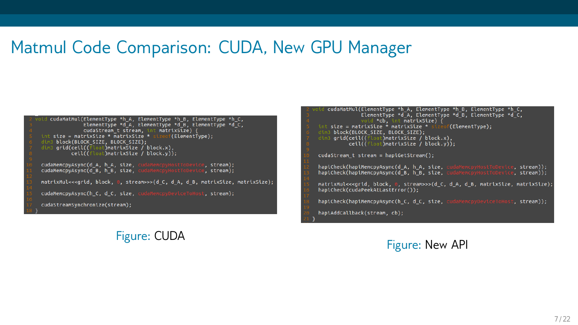### Matmul Code Comparison: CUDA, New GPU Manager

cudaMatMul(ElementType \*h A. ElementType \*h B. ElementType \*h C. ElementType \*d A. ElementType \*d B. ElementType \*d C. cudaStream t stream, int matrixSize) { int size = matrixSize \* matrixSize \* size  $\mathsf{tf}(\mathsf{FlementIven})$  : dim3 block(BLOCK SIZE, BLOCK SIZE): dim3 grid(ceil((float)matrixsize / block.x).  $\overline{\text{ceil}(\text{ifload})}$ matrixSize  $\overline{\text{/}}$  block.v $\overline{\text{obj}}$ :

cudaMemcpyAsync(d\_A, h\_A, size, cudaMemcpyF<br>cudaMemcpyAsync(d\_B, h\_B, size, cudaMemcpyF e, stream): e. stream):

matrixMul<<<qrid.block. 0. stream>>>(d C. d A. d B. matrixSize.matrixSize);

cudaMemcpvAsvnc(h C, d C, size, cudaMemcpvDeviceToH t, stream):

cudaStreamSvnchronize(stream):

#### Figure: CUDA

cudaMatMul(ElementType \*h A. ElementType \*h B. ElementType \*h C. FlementTyne \*d A FlementTyne \*d B. FlementTyne \*d C. void \*cb, int matrixSize) { int size = matrixSize \* matrixSize \* f(FlementTyne): dim3 block(BLOCK STZE BLOCK STZE):  $\frac{1}{\sin^2 \arctan^2(\cosh^2(\cosh^2\arctan^2\arctan^2\sin^2\arctan^2\arctan^2\arctan^2\arctan^2\arctan^2\arctan^2\arctan^2\arctan^2\arctan^2\arctan^2\arctan^2\arctan^2\arctan^2\arctan^2\arctan^2\arctan^2\arctan^2\arctan^2\arctan^2\arctan^2\arctan^2\arctan^2\arctan^2\arctan^2\arctan^2\arctan^2\arctan^2\arctan^2\arctan^2\arctan^$  $\overline{c}$ eil $\overline{c}$ float)matrixSize  $\overline{c}$  block v $\overline{v}$ cudaStream t stream = hapiGetStream(): hapiCheck(hapiMemcpyAsync(d A. h A. size, cud e. stream)): hapiCheck(hapiMemcovAsvnc(d B. h B. size. -, stream)):<br>e. stream)): matrixMul<<<grid, block, 0, stream>>>(d C, d A, d B, matrixSize, matrixSize); hapiCheck(cudaPeekAtLastError()):

hapiCheck(hapiMemcovAsync(h C. d C. size, cudaMemcovDeviceToH t. stream)):

haniAddCallback(stream, ch):

#### Figure: New API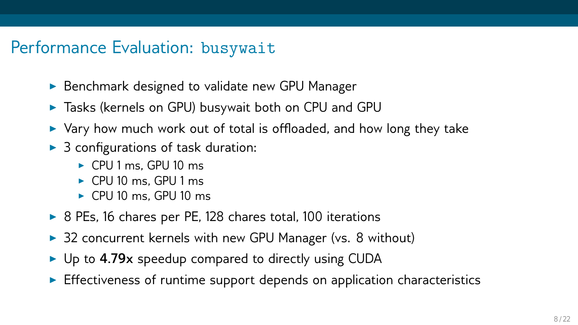### Performance Evaluation: busywait

- ▶ Benchmark designed to validate new GPU Manager
- ▶ Tasks (kernels on GPU) busywait both on CPU and GPU
- $\triangleright$  Vary how much work out of total is offloaded, and how long they take
- $\triangleright$  3 configurations of task duration:
	- ▶ CPU 1 ms, GPU 10 ms
	- ▶ CPU 10 ms, GPU 1 ms
	- ▶ CPU 10 ms, GPU 10 ms
- ▶ 8 PEs, 16 chares per PE, 128 chares total, 100 iterations
- ▶ 32 concurrent kernels with new GPU Manager (vs. 8 without)
- ▶ Up to **4.79x** speedup compared to directly using CUDA
- $\triangleright$  Effectiveness of runtime support depends on application characteristics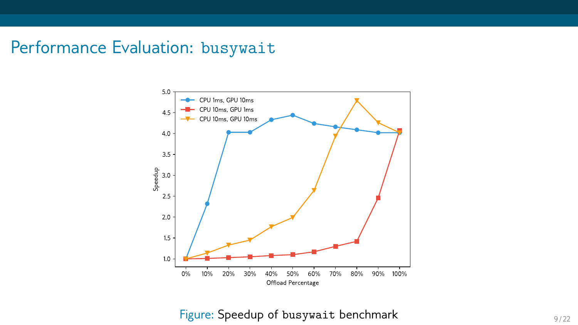### Performance Evaluation: busywait



### Figure: Speedup of busywait benchmark Figure: Speedup of busywait benchmark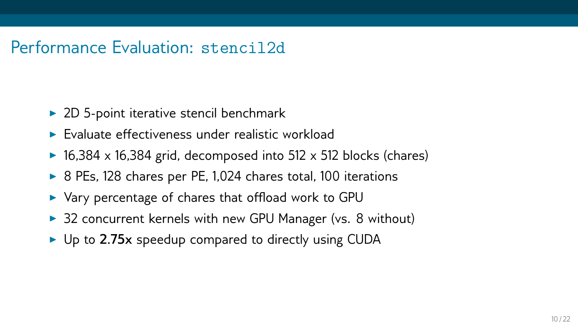### Performance Evaluation: stencil2d

- ▶ 2D 5-point iterative stencil benchmark
- $\blacktriangleright$  Evaluate effectiveness under realistic workload
- $\blacktriangleright$  16,384 x 16,384 grid, decomposed into 512 x 512 blocks (chares)
- ▶ 8 PEs, 128 chares per PE, 1,024 chares total, 100 iterations
- ▶ Vary percentage of chares that offload work to GPU
- ▶ 32 concurrent kernels with new GPU Manager (vs. 8 without)
- ▶ Up to **2.75x** speedup compared to directly using CUDA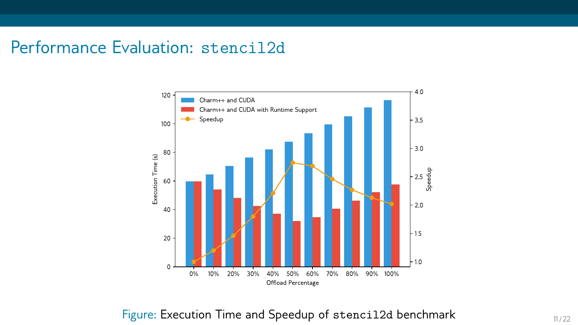### Performance Evaluation: stencil2d



#### Figure: Execution Time and Speedup of stencil2d benchmark 11/22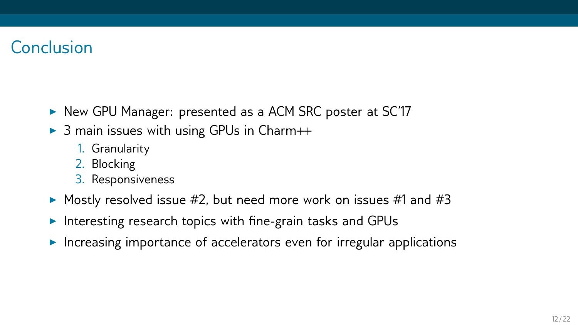## Conclusion

- ▶ New GPU Manager: presented as a ACM SRC poster at SC'17
- $\triangleright$  3 main issues with using GPUs in Charm++
	- 1. Granularity
	- 2. Blocking
	- 3. Responsiveness
- $\triangleright$  Mostly resolved issue #2, but need more work on issues #1 and #3
- ▶ Interesting research topics with fine-grain tasks and GPUs
- ▶ Increasing importance of accelerators even for irregular applications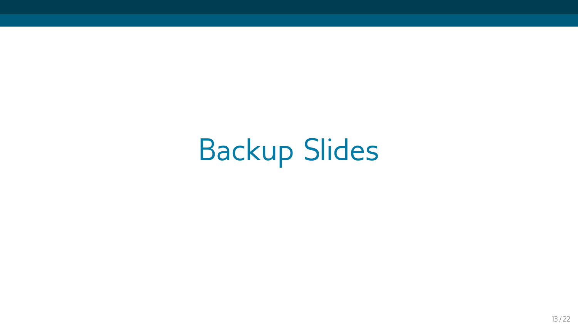Backup Slides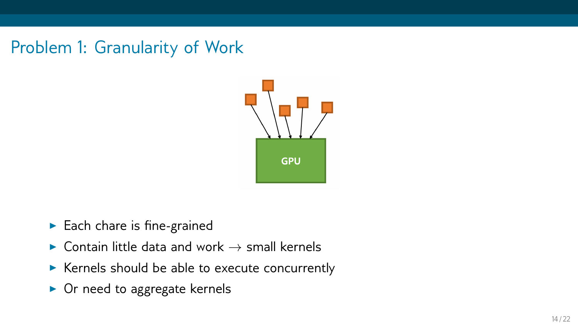Problem 1: Granularity of Work



- ▶ Each chare is fine-grained
- ▶ Contain little data and work *→* small kernels
- ▶ Kernels should be able to execute concurrently
- ▶ Or need to aggregate kernels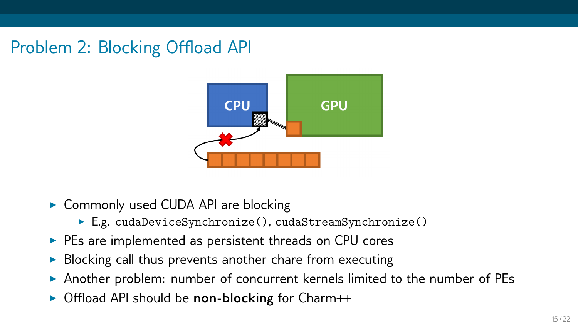# Problem 2: Blocking Offload API



- ▶ Commonly used CUDA API are blocking
	- ▶ E.g. cudaDeviceSynchronize(), cudaStreamSynchronize()
- ▶ PEs are implemented as persistent threads on CPU cores
- ▶ Blocking call thus prevents another chare from executing
- ▶ Another problem: number of concurrent kernels limited to the number of PEs
- ▶ Offload API should be **non-blocking** for Charm++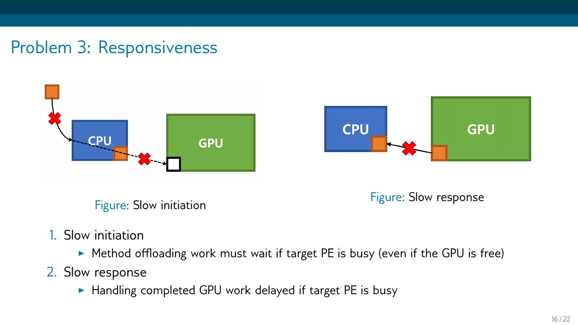## Problem 3: Responsiveness



Figure: Slow initiation **Figure: Slow response** 

- 1. Slow initiation
	- ▶ Method offloading work must wait if target PE is busy (even if the GPU is free)
- 2. Slow response
	- ▶ Handling completed GPU work delayed if target PE is busy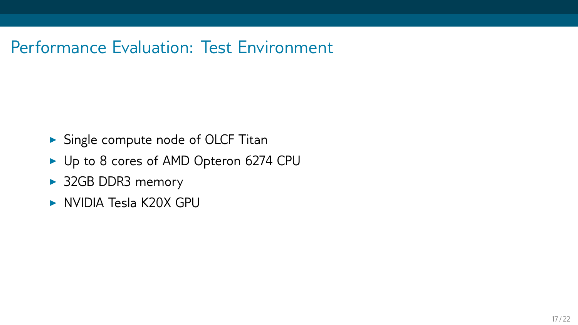### Performance Evaluation: Test Environment

- ▶ Single compute node of OLCF Titan
- ▶ Up to 8 cores of AMD Opteron 6274 CPU
- ▶ 32GB DDR3 memory
- ▶ NVIDIA Tesla K20X GPU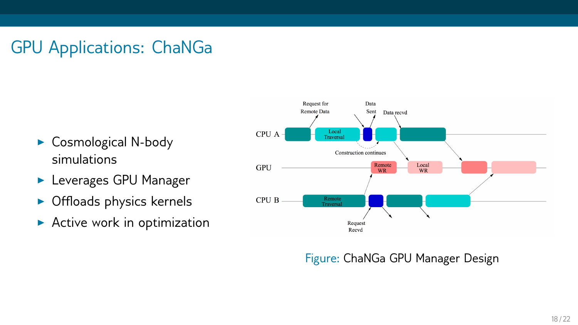# GPU Applications: ChaNGa

- ▶ Cosmological N-body simulations
- ▶ Leverages GPU Manager
- ▶ Offloads physics kernels
- $\blacktriangleright$  Active work in optimization



#### Figure: ChaNGa GPU Manager Design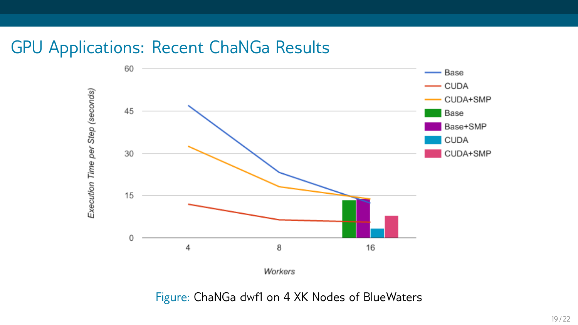### GPU Applications: Recent ChaNGa Results



Figure: ChaNGa dwf1 on 4 XK Nodes of BlueWaters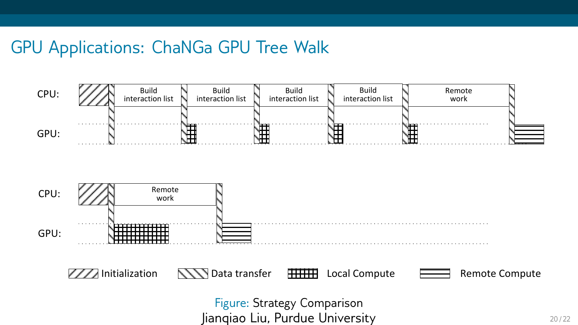### GPU Applications: ChaNGa GPU Tree Walk

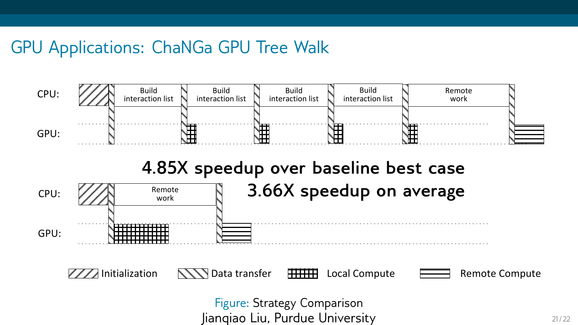## GPU Applications: ChaNGa GPU Tree Walk